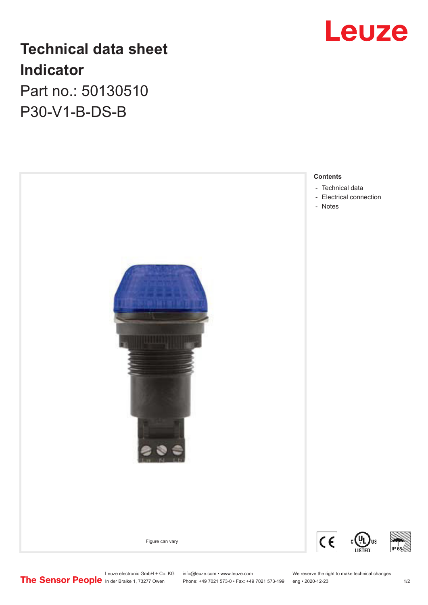# Leuze

## **Technical data sheet Indicator** Part no.: 50130510

P30-V1-B-DS-B



Leuze electronic GmbH + Co. KG info@leuze.com • www.leuze.com We reserve the right to make technical changes In der Braike 1, 73277 Owen Phone: +49 7021 573-0 • Fax: +49 7021 573-199 eng • 2020-12-23 1 /2